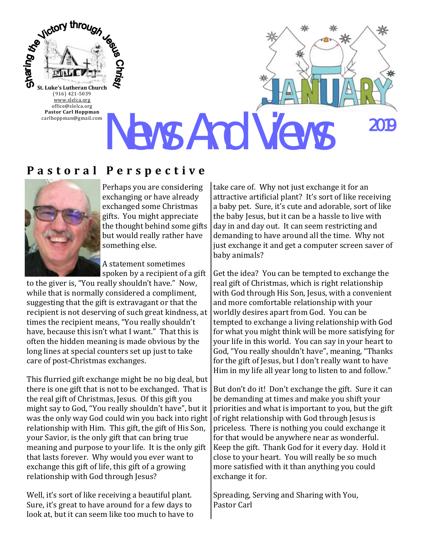

[www.slelca.org](http://www.luther95.net/SLLC-SCA) office@slelca.org **Pastor Carl Hoppman** carlhoppman@gmail.com

News And Views 2019

# **P a s t o r a l P e r s p e c t i v e**



Perhaps you are considering exchanging or have already exchanged some Christmas gifts. You might appreciate the thought behind some gifts but would really rather have something else.

A statement sometimes spoken by a recipient of a gift

to the giver is, "You really shouldn't have." Now, while that is normally considered a compliment, suggesting that the gift is extravagant or that the recipient is not deserving of such great kindness, at times the recipient means, "You really shouldn't have, because this isn't what I want." That this is often the hidden meaning is made obvious by the long lines at special counters set up just to take care of post-Christmas exchanges.

This flurried gift exchange might be no big deal, but there is one gift that is not to be exchanged. That is the real gift of Christmas, Jesus. Of this gift you might say to God, "You really shouldn't have", but it was the only way God could win you back into right relationship with Him. This gift, the gift of His Son, your Savior, is the only gift that can bring true meaning and purpose to your life. It is the only gift that lasts forever. Why would you ever want to exchange this gift of life, this gift of a growing relationship with God through Jesus?

Well, it's sort of like receiving a beautiful plant. Sure, it's great to have around for a few days to look at, but it can seem like too much to have to take care of. Why not just exchange it for an attractive artificial plant? It's sort of like receiving a baby pet. Sure, it's cute and adorable, sort of like the baby Jesus, but it can be a hassle to live with day in and day out. It can seem restricting and demanding to have around all the time. Why not just exchange it and get a computer screen saver of baby animals?

Get the idea? You can be tempted to exchange the real gift of Christmas, which is right relationship with God through His Son, Jesus, with a convenient and more comfortable relationship with your worldly desires apart from God. You can be tempted to exchange a living relationship with God for what you might think will be more satisfying for your life in this world. You can say in your heart to God, "You really shouldn't have", meaning, "Thanks for the gift of Jesus, but I don't really want to have Him in my life all year long to listen to and follow."

But don't do it! Don't exchange the gift. Sure it can be demanding at times and make you shift your priorities and what is important to you, but the gift of right relationship with God through Jesus is priceless. There is nothing you could exchange it for that would be anywhere near as wonderful. Keep the gift. Thank God for it every day. Hold it close to your heart. You will really be so much more satisfied with it than anything you could exchange it for.

Spreading, Serving and Sharing with You, Pastor Carl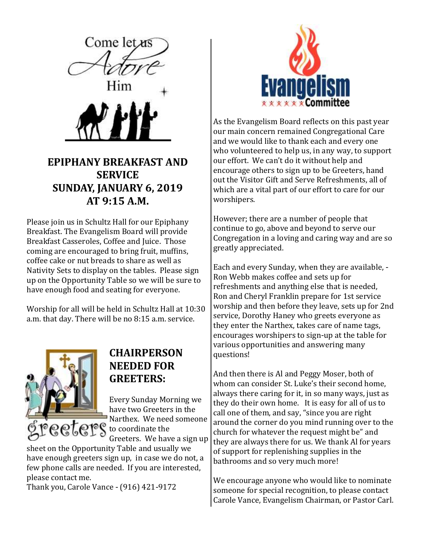

## **EPIPHANY BREAKFAST AND SERVICE SUNDAY, JANUARY 6, 2019 AT 9:15 A.M.**

Please join us in Schultz Hall for our Epiphany Breakfast. The Evangelism Board will provide Breakfast Casseroles, Coffee and Juice. Those coming are encouraged to bring fruit, muffins, coffee cake or nut breads to share as well as Nativity Sets to display on the tables. Please sign up on the Opportunity Table so we will be sure to have enough food and seating for everyone.

Worship for all will be held in Schultz Hall at 10:30 a.m. that day. There will be no 8:15 a.m. service.



### **CHAIRPERSON NEEDED FOR GREETERS:**

Every Sunday Morning we have two Greeters in the Narthex. We need someone **eeters** to coordinate the

Greeters. We have a sign up

sheet on the Opportunity Table and usually we have enough greeters sign up, in case we do not, a few phone calls are needed. If you are interested, please contact me.

Thank you, Carole Vance - (916) 421-9172



As the Evangelism Board reflects on this past year our main concern remained Congregational Care and we would like to thank each and every one who volunteered to help us, in any way, to support our effort. We can't do it without help and encourage others to sign up to be Greeters, hand out the Visitor Gift and Serve Refreshments, all of which are a vital part of our effort to care for our worshipers.

However; there are a number of people that continue to go, above and beyond to serve our Congregation in a loving and caring way and are so greatly appreciated.

Each and every Sunday, when they are available, - Ron Webb makes coffee and sets up for refreshments and anything else that is needed, Ron and Cheryl Franklin prepare for 1st service worship and then before they leave, sets up for 2nd service, Dorothy Haney who greets everyone as they enter the Narthex, takes care of name tags, encourages worshipers to sign-up at the table for various opportunities and answering many questions!

And then there is Al and Peggy Moser, both of whom can consider St. Luke's their second home, always there caring for it, in so many ways, just as they do their own home. It is easy for all of us to call one of them, and say, "since you are right around the corner do you mind running over to the church for whatever the request might be" and they are always there for us. We thank Al for years of support for replenishing supplies in the bathrooms and so very much more!

We encourage anyone who would like to nominate someone for special recognition, to please contact Carole Vance, Evangelism Chairman, or Pastor Carl.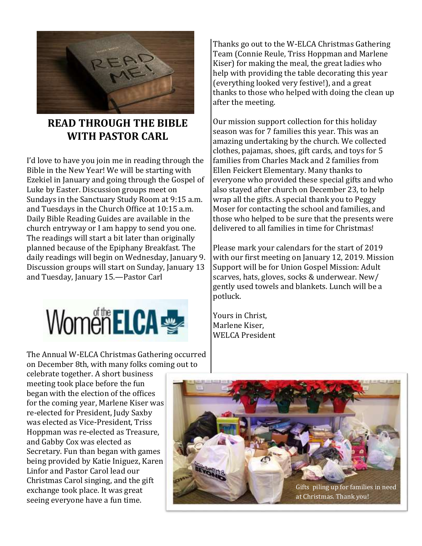

## **READ THROUGH THE BIBLE WITH PASTOR CARL**

I'd love to have you join me in reading through the Bible in the New Year! We will be starting with Ezekiel in January and going through the Gospel of Luke by Easter. Discussion groups meet on Sundays in the Sanctuary Study Room at 9:15 a.m. and Tuesdays in the Church Office at 10:15 a.m. Daily Bible Reading Guides are available in the church entryway or I am happy to send you one. The readings will start a bit later than originally planned because of the Epiphany Breakfast. The daily readings will begin on Wednesday, January 9. Discussion groups will start on Sunday, January 13 and Tuesday, January 15.—Pastor Carl



The Annual W-ELCA Christmas Gathering occurred on December 8th, with many folks coming out to

Thanks go out to the W-ELCA Christmas Gathering Team (Connie Reule, Triss Hoppman and Marlene Kiser) for making the meal, the great ladies who help with providing the table decorating this year (everything looked very festive!), and a great thanks to those who helped with doing the clean up after the meeting.

Our mission support collection for this holiday season was for 7 families this year. This was an amazing undertaking by the church. We collected clothes, pajamas, shoes, gift cards, and toys for 5 families from Charles Mack and 2 families from Ellen Feickert Elementary. Many thanks to everyone who provided these special gifts and who also stayed after church on December 23, to help wrap all the gifts. A special thank you to Peggy Moser for contacting the school and families, and those who helped to be sure that the presents were delivered to all families in time for Christmas!

Please mark your calendars for the start of 2019 with our first meeting on January 12, 2019. Mission Support will be for Union Gospel Mission: Adult scarves, hats, gloves, socks & underwear. New/ gently used towels and blankets. Lunch will be a potluck.

Yours in Christ, Marlene Kiser, WELCA President

celebrate together. A short business meeting took place before the fun began with the election of the offices for the coming year, Marlene Kiser was re-elected for President, Judy Saxby was elected as Vice-President, Triss Hoppman was re-elected as Treasure, and Gabby Cox was elected as Secretary. Fun than began with games being provided by Katie Iniguez, Karen Linfor and Pastor Carol lead our Christmas Carol singing, and the gift exchange took place. It was great seeing everyone have a fun time.

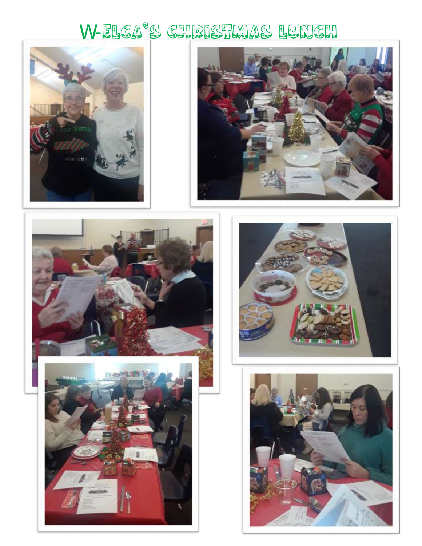# W-ELCA's CHRISTMAS LUNCH









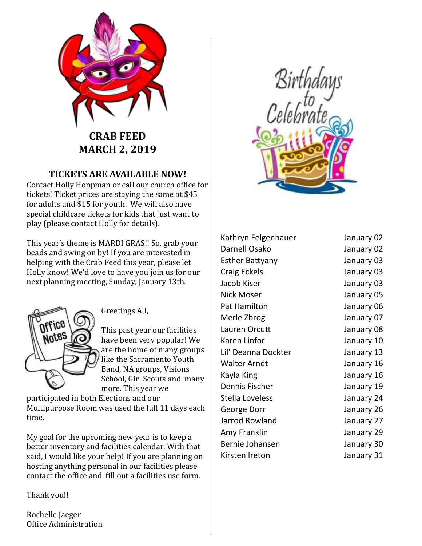

# **CRAB FEED MARCH 2, 2019**

#### **TICKETS ARE AVAILABLE NOW!**

Contact Holly Hoppman or call our church office for tickets! Ticket prices are staying the same at \$45 for adults and \$15 for youth. We will also have special childcare tickets for kids that just want to play (please contact Holly for details).

This year's theme is MARDI GRAS!! So, grab your beads and swing on by! If you are interested in helping with the Crab Feed this year, please let Holly know! We'd love to have you join us for our next planning meeting, Sunday, January 13th.



Greetings All,

This past year our facilities have been very popular! We are the home of many groups like the Sacramento Youth Band, NA groups, Visions School, Girl Scouts and many more. This year we

participated in both Elections and our Multipurpose Room was used the full 11 days each time.

My goal for the upcoming new year is to keep a better inventory and facilities calendar. With that said, I would like your help! If you are planning on hosting anything personal in our facilities please contact the office and fill out a facilities use form.

Thank you!!

Rochelle Jaeger Office Administration



Kathryn Felgenhauer January 02 Darnell Osako January 02 Esther Battyany January 03 Craig Eckels January 03 Jacob Kiser January 03 Nick Moser **Nick Moser** 1980 **January 05** Pat Hamilton January 06 Merle Zbrog January 07 Lauren Orcutt January 08 Karen Linfor **International Communist Communist Communist Communist Communist Communist Communist Communist Co** Lil' Deanna Dockter January 13 Walter Arndt January 16 Kayla King **Internal Communist Communist Communist Communist Communist Communist Communist Communist Communist Communist Communist Communist Communist Communist Communist Communist Communist Communist Communist Communist C** Dennis Fischer **January 19** Stella Loveless January 24 George Dorr January 26 Jarrod Rowland January 27 Amy Franklin January 29 Bernie Johansen January 30 Kirsten Ireton January 31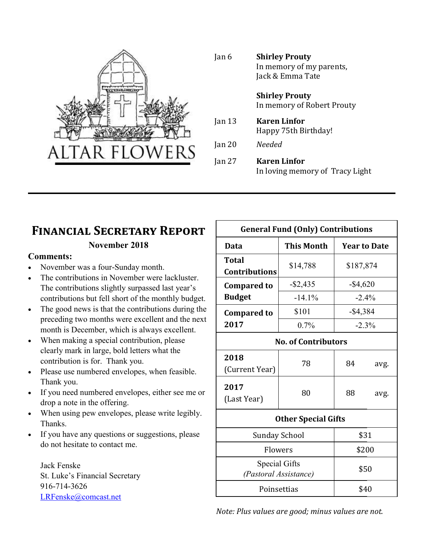

| Jan 6  | <b>Shirley Prouty</b><br>In memory of my parents,<br>Jack & Emma Tate |  |  |
|--------|-----------------------------------------------------------------------|--|--|
|        | <b>Shirley Prouty</b><br>In memory of Robert Prouty                   |  |  |
| Jan 13 | <b>Karen Linfor</b><br>Happy 75th Birthday!                           |  |  |
| Jan 20 | Needed                                                                |  |  |
| Jan 27 | <b>Karen Linfor</b><br>In loving memory of Tracy Light                |  |  |

# **Financial Secretary Report**

#### **November 2018**

#### **Comments:**

- November was a four-Sunday month.
- The contributions in November were lackluster. The contributions slightly surpassed last year's contributions but fell short of the monthly budget.
- The good news is that the contributions during the preceding two months were excellent and the next month is December, which is always excellent.
- When making a special contribution, please clearly mark in large, bold letters what the contribution is for. Thank you.
- Please use numbered envelopes, when feasible. Thank you.
- If you need numbered envelopes, either see me or drop a note in the offering.
- When using pew envelopes, please write legibly. Thanks.
- If you have any questions or suggestions, please do not hesitate to contact me.

Jack Fenske St. Luke's Financial Secretary 916-714-3626 [LRFenske@comcast.net](mailto:LRFenske@comcast.net)

| <b>General Fund (Only) Contributions</b> |                   |             |                     |  |  |
|------------------------------------------|-------------------|-------------|---------------------|--|--|
| Data                                     | <b>This Month</b> |             | <b>Year to Date</b> |  |  |
| Total<br><b>Contributions</b>            | \$14,788          | \$187,874   |                     |  |  |
| <b>Compared to</b>                       | $-$ \$2,435       | $-$ \$4,620 |                     |  |  |
| <b>Budget</b>                            | $-14.1%$          |             | $-2.4%$             |  |  |
| <b>Compared to</b>                       | \$101             | $-$ \$4,384 |                     |  |  |
| 2017                                     | 0.7%              |             | $-2.3%$             |  |  |
| <b>No. of Contributors</b>               |                   |             |                     |  |  |
| 2018<br>(Current Year)                   | 78                | 84          | avg.                |  |  |
| 2017<br>(Last Year)                      | 80                | 88          | avg.                |  |  |
| <b>Other Special Gifts</b>               |                   |             |                     |  |  |
| <b>Sunday School</b>                     | \$31              |             |                     |  |  |
| Flowers                                  |                   | \$200       |                     |  |  |
| Special Gifts<br>(Pastoral Assistance)   | \$50              |             |                     |  |  |
| Poinsettias                              |                   | \$40        |                     |  |  |

*Note: Plus values are good; minus values are not.*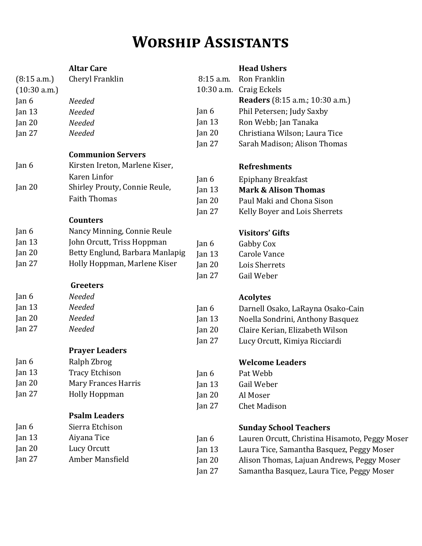# **Worship Assistants**

|              | <b>Altar Care</b>               |           | <b>Head Ushers</b>                             |
|--------------|---------------------------------|-----------|------------------------------------------------|
| (8:15 a.m.)  | Cheryl Franklin                 | 8:15 a.m. | Ron Franklin                                   |
| (10:30 a.m.) |                                 |           | 10:30 a.m. Craig Eckels                        |
| Jan 6        | Needed                          |           | <b>Readers</b> (8:15 a.m.; 10:30 a.m.)         |
| Jan $13$     | Needed                          | Jan 6     | Phil Petersen; Judy Saxby                      |
| Jan $20$     | Needed                          | Jan $13$  | Ron Webb; Jan Tanaka                           |
| Jan 27       | Needed                          | Jan 20    | Christiana Wilson; Laura Tice                  |
|              |                                 | Jan $27$  | Sarah Madison; Alison Thomas                   |
|              | <b>Communion Servers</b>        |           |                                                |
| Jan 6        | Kirsten Ireton, Marlene Kiser,  |           | <b>Refreshments</b>                            |
|              | Karen Linfor                    | Jan 6     | <b>Epiphany Breakfast</b>                      |
| Jan 20       | Shirley Prouty, Connie Reule,   | Jan $13$  | <b>Mark &amp; Alison Thomas</b>                |
|              | <b>Faith Thomas</b>             | Jan $20$  | Paul Maki and Chona Sison                      |
|              |                                 | Jan $27$  | Kelly Boyer and Lois Sherrets                  |
|              | <b>Counters</b>                 |           |                                                |
| Jan 6        | Nancy Minning, Connie Reule     |           | <b>Visitors' Gifts</b>                         |
| Jan $13$     | John Orcutt, Triss Hoppman      | Jan $6$   | Gabby Cox                                      |
| Jan $20$     | Betty Englund, Barbara Manlapig | Jan $13$  | Carole Vance                                   |
| Jan $27$     | Holly Hoppman, Marlene Kiser    | Jan 20    | Lois Sherrets                                  |
|              |                                 | Jan $27$  | Gail Weber                                     |
|              | <b>Greeters</b>                 |           |                                                |
| Jan 6        | Needed                          |           | <b>Acolytes</b>                                |
| Jan $13$     | Needed                          | Jan 6     | Darnell Osako, LaRayna Osako-Cain              |
| Jan 20       | Needed                          | Jan $13$  | Noella Sondrini, Anthony Basquez               |
| Jan $27$     | Needed                          | Jan 20    | Claire Kerian, Elizabeth Wilson                |
|              |                                 | Jan $27$  | Lucy Orcutt, Kimiya Ricciardi                  |
|              | <b>Prayer Leaders</b>           |           |                                                |
| Jan 6        | Ralph Zbrog                     |           | <b>Welcome Leaders</b>                         |
| Jan $13$     | <b>Tracy Etchison</b>           | Jan 6     | Pat Webb                                       |
| Jan $20$     | <b>Mary Frances Harris</b>      | Jan $13$  | Gail Weber                                     |
| Jan $27$     | <b>Holly Hoppman</b>            | Jan $20$  | Al Moser                                       |
|              |                                 | Jan $27$  | <b>Chet Madison</b>                            |
|              | <b>Psalm Leaders</b>            |           |                                                |
| Jan 6        | Sierra Etchison                 |           | <b>Sunday School Teachers</b>                  |
| Jan 13       | Aiyana Tice                     | Jan 6     | Lauren Orcutt, Christina Hisamoto, Peggy Moser |
| Jan $20$     | Lucy Orcutt                     | Jan 13    | Laura Tice, Samantha Basquez, Peggy Moser      |
| Jan $27$     | Amber Mansfield                 | Jan $20$  | Alison Thomas, Lajuan Andrews, Peggy Moser     |
|              |                                 | Jan 27    | Samantha Basquez, Laura Tice, Peggy Moser      |